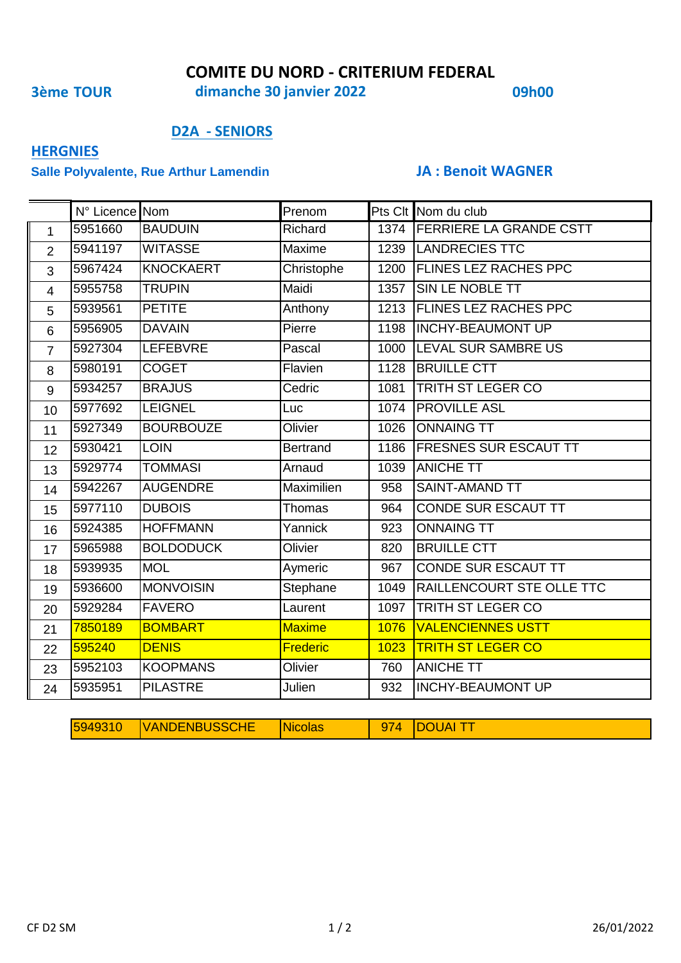## **COMITE DU NORD - CRITERIUM FEDERAL**

**3ème TOUR 09h00 dimanche 30 janvier 2022**

### **D2A - SENIORS**

# **HERGNIES**

### **Salle Polyvalente, Rue Arthur Lamendin JA : Benoit WAGNER**

|                | N° Licence Nom |                  | Prenom          |      | Pts Clt Nom du club          |
|----------------|----------------|------------------|-----------------|------|------------------------------|
| $\mathbf{1}$   | 5951660        | <b>BAUDUIN</b>   | Richard         |      | 1374 FERRIERE LA GRANDE CSTT |
| $\overline{2}$ | 5941197        | <b>WITASSE</b>   | Maxime          |      | 1239   LANDRECIES TTC        |
| 3              | 5967424        | <b>KNOCKAERT</b> | Christophe      | 1200 | <b>FLINES LEZ RACHES PPC</b> |
| $\overline{4}$ | 5955758        | <b>TRUPIN</b>    | Maidi           | 1357 | SIN LE NOBLE TT              |
| 5              | 5939561        | <b>PETITE</b>    | Anthony         | 1213 | <b>FLINES LEZ RACHES PPC</b> |
| 6              | 5956905        | <b>DAVAIN</b>    | Pierre          | 1198 | <b>INCHY-BEAUMONT UP</b>     |
| $\overline{7}$ | 5927304        | <b>LEFEBVRE</b>  | Pascal          | 1000 | LEVAL SUR SAMBRE US          |
| 8              | 5980191        | <b>COGET</b>     | Flavien         | 1128 | <b>BRUILLE CTT</b>           |
| 9              | 5934257        | <b>BRAJUS</b>    | Cedric          | 1081 | TRITH ST LEGER CO            |
| 10             | 5977692        | <b>LEIGNEL</b>   | Luc             | 1074 | <b>PROVILLE ASL</b>          |
| 11             | 5927349        | <b>BOURBOUZE</b> | Olivier         | 1026 | <b>ONNAING TT</b>            |
| 12             | 5930421        | <b>LOIN</b>      | <b>Bertrand</b> | 1186 | <b>FRESNES SUR ESCAUT TT</b> |
| 13             | 5929774        | <b>TOMMASI</b>   | Arnaud          | 1039 | <b>ANICHE TT</b>             |
| 14             | 5942267        | <b>AUGENDRE</b>  | Maximilien      | 958  | <b>SAINT-AMAND TT</b>        |
| 15             | 5977110        | <b>DUBOIS</b>    | <b>Thomas</b>   | 964  | <b>CONDE SUR ESCAUT TT</b>   |
| 16             | 5924385        | <b>HOFFMANN</b>  | Yannick         | 923  | <b>ONNAING TT</b>            |
| 17             | 5965988        | <b>BOLDODUCK</b> | Olivier         | 820  | <b>BRUILLE CTT</b>           |
| 18             | 5939935        | <b>MOL</b>       | Aymeric         | 967  | <b>CONDE SUR ESCAUT TT</b>   |
| 19             | 5936600        | <b>MONVOISIN</b> | Stephane        | 1049 | RAILLENCOURT STE OLLE TTC    |
| 20             | 5929284        | <b>FAVERO</b>    | Laurent         | 1097 | TRITH ST LEGER CO            |
| 21             | 7850189        | <b>BOMBART</b>   | <b>Maxime</b>   | 1076 | <b>VALENCIENNES USTT</b>     |
| 22             | 595240         | <b>DENIS</b>     | <b>Frederic</b> | 1023 | <b>TRITH ST LEGER CO</b>     |
| 23             | 5952103        | <b>KOOPMANS</b>  | Olivier         | 760  | <b>ANICHE TT</b>             |
| 24             | 5935951        | <b>PILASTRE</b>  | Julien          | 932  | <b>INCHY-BEAUMONT UP</b>     |

| 5949310 | <b>NBUSSCHE</b><br>IVANDENBL | <b>The State State</b> | JAI<br>к |
|---------|------------------------------|------------------------|----------|